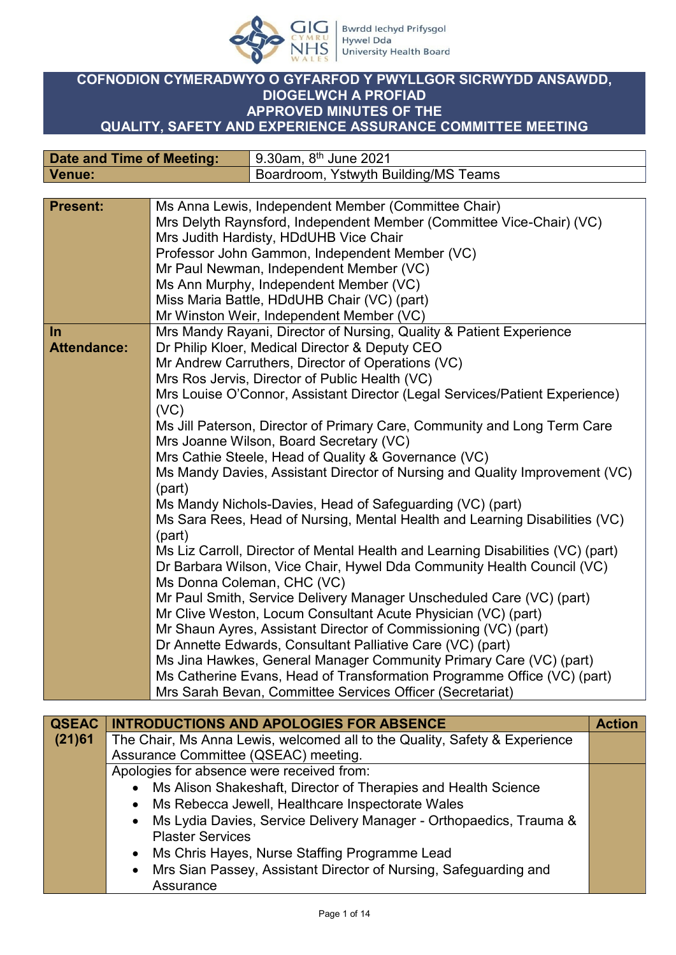

## **COFNODION CYMERADWYO O GYFARFOD Y PWYLLGOR SICRWYDD ANSAWDD, DIOGELWCH A PROFIAD APPROVED MINUTES OF THE QUALITY, SAFETY AND EXPERIENCE ASSURANCE COMMITTEE MEETING**

| Date and Time of Meeting: | 9.30am, 8 <sup>th</sup> June 2021    |
|---------------------------|--------------------------------------|
| Venue:                    | Boardroom, Ystwyth Building/MS Teams |
|                           |                                      |

| <b>Present:</b>    | Ms Anna Lewis, Independent Member (Committee Chair)                             |
|--------------------|---------------------------------------------------------------------------------|
|                    | Mrs Delyth Raynsford, Independent Member (Committee Vice-Chair) (VC)            |
|                    | Mrs Judith Hardisty, HDdUHB Vice Chair                                          |
|                    | Professor John Gammon, Independent Member (VC)                                  |
|                    | Mr Paul Newman, Independent Member (VC)                                         |
|                    | Ms Ann Murphy, Independent Member (VC)                                          |
|                    | Miss Maria Battle, HDdUHB Chair (VC) (part)                                     |
|                    | Mr Winston Weir, Independent Member (VC)                                        |
| $\ln$              | Mrs Mandy Rayani, Director of Nursing, Quality & Patient Experience             |
| <b>Attendance:</b> | Dr Philip Kloer, Medical Director & Deputy CEO                                  |
|                    | Mr Andrew Carruthers, Director of Operations (VC)                               |
|                    | Mrs Ros Jervis, Director of Public Health (VC)                                  |
|                    | Mrs Louise O'Connor, Assistant Director (Legal Services/Patient Experience)     |
|                    | (VC)                                                                            |
|                    | Ms Jill Paterson, Director of Primary Care, Community and Long Term Care        |
|                    | Mrs Joanne Wilson, Board Secretary (VC)                                         |
|                    | Mrs Cathie Steele, Head of Quality & Governance (VC)                            |
|                    | Ms Mandy Davies, Assistant Director of Nursing and Quality Improvement (VC)     |
|                    | (part)                                                                          |
|                    | Ms Mandy Nichols-Davies, Head of Safeguarding (VC) (part)                       |
|                    | Ms Sara Rees, Head of Nursing, Mental Health and Learning Disabilities (VC)     |
|                    | (part)                                                                          |
|                    | Ms Liz Carroll, Director of Mental Health and Learning Disabilities (VC) (part) |
|                    | Dr Barbara Wilson, Vice Chair, Hywel Dda Community Health Council (VC)          |
|                    | Ms Donna Coleman, CHC (VC)                                                      |
|                    | Mr Paul Smith, Service Delivery Manager Unscheduled Care (VC) (part)            |
|                    | Mr Clive Weston, Locum Consultant Acute Physician (VC) (part)                   |
|                    | Mr Shaun Ayres, Assistant Director of Commissioning (VC) (part)                 |
|                    | Dr Annette Edwards, Consultant Palliative Care (VC) (part)                      |
|                    | Ms Jina Hawkes, General Manager Community Primary Care (VC) (part)              |
|                    | Ms Catherine Evans, Head of Transformation Programme Office (VC) (part)         |
|                    | Mrs Sarah Bevan, Committee Services Officer (Secretariat)                       |

| <b>QSEAC</b> | <b>INTRODUCTIONS AND APOLOGIES FOR ABSENCE</b>                             | <b>Action</b> |
|--------------|----------------------------------------------------------------------------|---------------|
| (21)61       | The Chair, Ms Anna Lewis, welcomed all to the Quality, Safety & Experience |               |
|              | Assurance Committee (QSEAC) meeting.                                       |               |
|              | Apologies for absence were received from:                                  |               |
|              | • Ms Alison Shakeshaft, Director of Therapies and Health Science           |               |
|              | • Ms Rebecca Jewell, Healthcare Inspectorate Wales                         |               |
|              | • Ms Lydia Davies, Service Delivery Manager - Orthopaedics, Trauma &       |               |
|              | <b>Plaster Services</b>                                                    |               |
|              | • Ms Chris Hayes, Nurse Staffing Programme Lead                            |               |
|              | • Mrs Sian Passey, Assistant Director of Nursing, Safeguarding and         |               |
|              | Assurance                                                                  |               |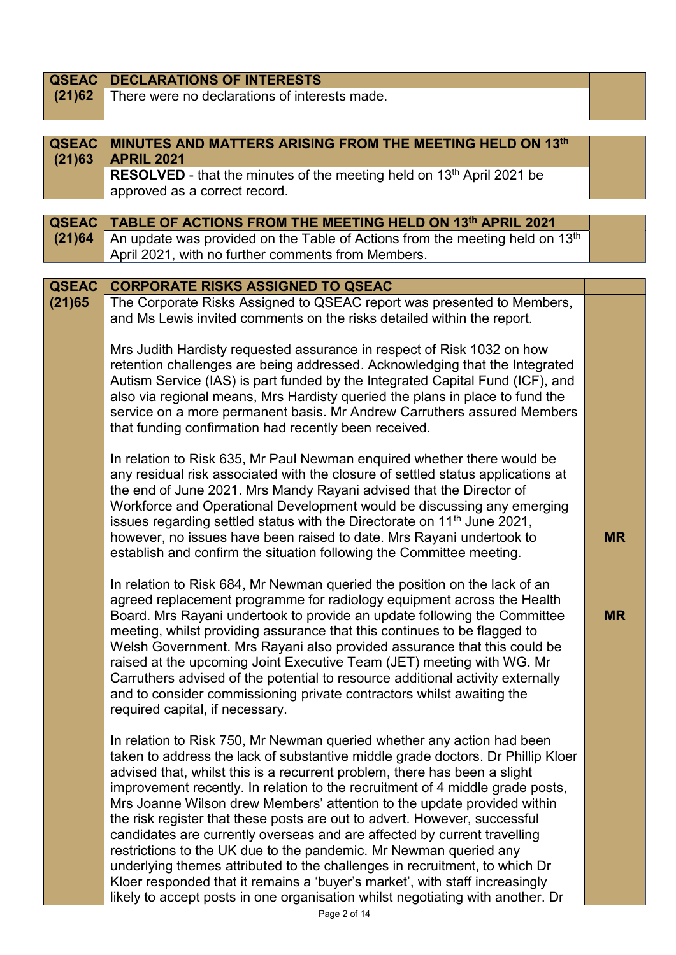| <b>QSEAC</b> | <b>DECLARATIONS OF INTERESTS</b>                                                                                                                                                                                                                                                                                                                                                                                                                                                                                                                                                                                                                                                                                                                                                                                                                                                               |           |
|--------------|------------------------------------------------------------------------------------------------------------------------------------------------------------------------------------------------------------------------------------------------------------------------------------------------------------------------------------------------------------------------------------------------------------------------------------------------------------------------------------------------------------------------------------------------------------------------------------------------------------------------------------------------------------------------------------------------------------------------------------------------------------------------------------------------------------------------------------------------------------------------------------------------|-----------|
| (21)62       | There were no declarations of interests made.                                                                                                                                                                                                                                                                                                                                                                                                                                                                                                                                                                                                                                                                                                                                                                                                                                                  |           |
|              |                                                                                                                                                                                                                                                                                                                                                                                                                                                                                                                                                                                                                                                                                                                                                                                                                                                                                                |           |
| <b>QSEAC</b> | MINUTES AND MATTERS ARISING FROM THE MEETING HELD ON 13th                                                                                                                                                                                                                                                                                                                                                                                                                                                                                                                                                                                                                                                                                                                                                                                                                                      |           |
| (21)63       | <b>APRIL 2021</b>                                                                                                                                                                                                                                                                                                                                                                                                                                                                                                                                                                                                                                                                                                                                                                                                                                                                              |           |
|              | <b>RESOLVED</b> - that the minutes of the meeting held on 13 <sup>th</sup> April 2021 be                                                                                                                                                                                                                                                                                                                                                                                                                                                                                                                                                                                                                                                                                                                                                                                                       |           |
|              | approved as a correct record.                                                                                                                                                                                                                                                                                                                                                                                                                                                                                                                                                                                                                                                                                                                                                                                                                                                                  |           |
|              |                                                                                                                                                                                                                                                                                                                                                                                                                                                                                                                                                                                                                                                                                                                                                                                                                                                                                                |           |
| <b>QSEAC</b> | TABLE OF ACTIONS FROM THE MEETING HELD ON 13th APRIL 2021                                                                                                                                                                                                                                                                                                                                                                                                                                                                                                                                                                                                                                                                                                                                                                                                                                      |           |
| (21)64       | An update was provided on the Table of Actions from the meeting held on 13th                                                                                                                                                                                                                                                                                                                                                                                                                                                                                                                                                                                                                                                                                                                                                                                                                   |           |
|              | April 2021, with no further comments from Members.                                                                                                                                                                                                                                                                                                                                                                                                                                                                                                                                                                                                                                                                                                                                                                                                                                             |           |
|              |                                                                                                                                                                                                                                                                                                                                                                                                                                                                                                                                                                                                                                                                                                                                                                                                                                                                                                |           |
| <b>QSEAC</b> | <b>CORPORATE RISKS ASSIGNED TO QSEAC</b>                                                                                                                                                                                                                                                                                                                                                                                                                                                                                                                                                                                                                                                                                                                                                                                                                                                       |           |
| (21)65       | The Corporate Risks Assigned to QSEAC report was presented to Members,<br>and Ms Lewis invited comments on the risks detailed within the report.                                                                                                                                                                                                                                                                                                                                                                                                                                                                                                                                                                                                                                                                                                                                               |           |
|              | Mrs Judith Hardisty requested assurance in respect of Risk 1032 on how<br>retention challenges are being addressed. Acknowledging that the Integrated<br>Autism Service (IAS) is part funded by the Integrated Capital Fund (ICF), and<br>also via regional means, Mrs Hardisty queried the plans in place to fund the<br>service on a more permanent basis. Mr Andrew Carruthers assured Members<br>that funding confirmation had recently been received.                                                                                                                                                                                                                                                                                                                                                                                                                                     |           |
|              | In relation to Risk 635, Mr Paul Newman enquired whether there would be<br>any residual risk associated with the closure of settled status applications at<br>the end of June 2021. Mrs Mandy Rayani advised that the Director of<br>Workforce and Operational Development would be discussing any emerging<br>issues regarding settled status with the Directorate on 11 <sup>th</sup> June 2021,<br>however, no issues have been raised to date. Mrs Rayani undertook to<br>establish and confirm the situation following the Committee meeting.                                                                                                                                                                                                                                                                                                                                             | <b>MR</b> |
|              | In relation to Risk 684, Mr Newman queried the position on the lack of an<br>agreed replacement programme for radiology equipment across the Health<br>Board. Mrs Rayani undertook to provide an update following the Committee<br>meeting, whilst providing assurance that this continues to be flagged to<br>Welsh Government. Mrs Rayani also provided assurance that this could be<br>raised at the upcoming Joint Executive Team (JET) meeting with WG. Mr<br>Carruthers advised of the potential to resource additional activity externally<br>and to consider commissioning private contractors whilst awaiting the<br>required capital, if necessary.                                                                                                                                                                                                                                  | <b>MR</b> |
|              | In relation to Risk 750, Mr Newman queried whether any action had been<br>taken to address the lack of substantive middle grade doctors. Dr Phillip Kloer<br>advised that, whilst this is a recurrent problem, there has been a slight<br>improvement recently. In relation to the recruitment of 4 middle grade posts,<br>Mrs Joanne Wilson drew Members' attention to the update provided within<br>the risk register that these posts are out to advert. However, successful<br>candidates are currently overseas and are affected by current travelling<br>restrictions to the UK due to the pandemic. Mr Newman queried any<br>underlying themes attributed to the challenges in recruitment, to which Dr<br>Kloer responded that it remains a 'buyer's market', with staff increasingly<br>likely to accept posts in one organisation whilst negotiating with another. Dr<br>Dao 2 of 11 |           |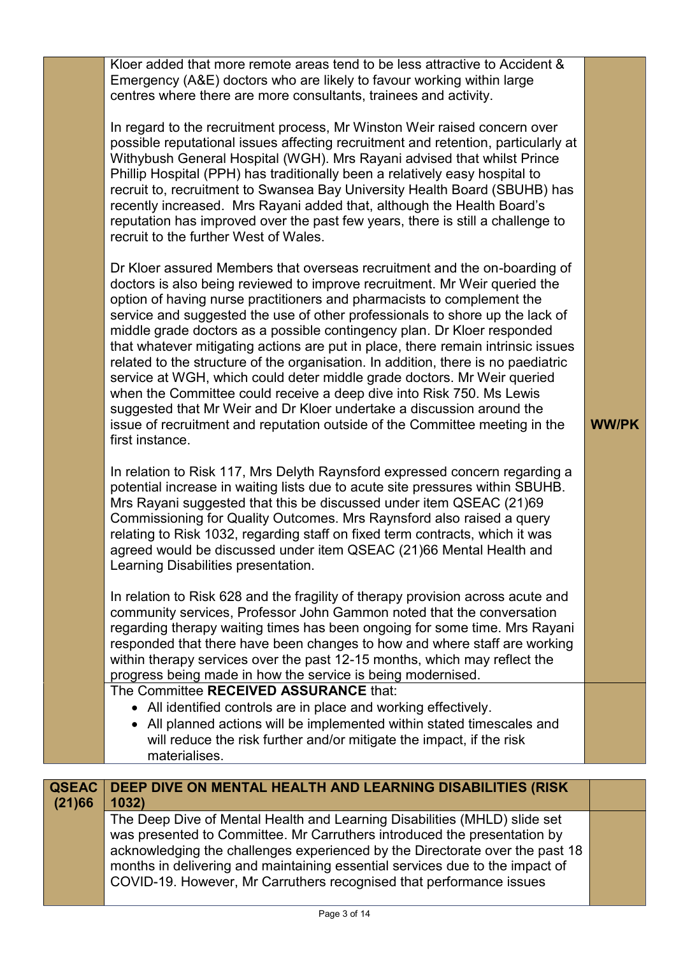| first instance. | recruit to, recruitment to Swansea Bay University Health Board (SBUHB) has<br>recently increased. Mrs Rayani added that, although the Health Board's<br>reputation has improved over the past few years, there is still a challenge to<br>recruit to the further West of Wales.<br>Dr Kloer assured Members that overseas recruitment and the on-boarding of<br>doctors is also being reviewed to improve recruitment. Mr Weir queried the<br>option of having nurse practitioners and pharmacists to complement the<br>service and suggested the use of other professionals to shore up the lack of<br>middle grade doctors as a possible contingency plan. Dr Kloer responded<br>that whatever mitigating actions are put in place, there remain intrinsic issues<br>related to the structure of the organisation. In addition, there is no paediatric<br>service at WGH, which could deter middle grade doctors. Mr Weir queried<br>when the Committee could receive a deep dive into Risk 750. Ms Lewis<br>suggested that Mr Weir and Dr Kloer undertake a discussion around the<br>issue of recruitment and reputation outside of the Committee meeting in the<br>In relation to Risk 117, Mrs Delyth Raynsford expressed concern regarding a<br>potential increase in waiting lists due to acute site pressures within SBUHB.<br>Mrs Rayani suggested that this be discussed under item QSEAC (21)69<br>Commissioning for Quality Outcomes. Mrs Raynsford also raised a query<br>relating to Risk 1032, regarding staff on fixed term contracts, which it was<br>agreed would be discussed under item QSEAC (21)66 Mental Health and<br>Learning Disabilities presentation.<br>In relation to Risk 628 and the fragility of therapy provision across acute and<br>community services, Professor John Gammon noted that the conversation<br>regarding therapy waiting times has been ongoing for some time. Mrs Rayani<br>responded that there have been changes to how and where staff are working<br>within therapy services over the past 12-15 months, which may reflect the<br>progress being made in how the service is being modernised.<br>The Committee RECEIVED ASSURANCE that:<br>• All identified controls are in place and working effectively.<br>• All planned actions will be implemented within stated timescales and | <b>WW/PK</b> |
|-----------------|---------------------------------------------------------------------------------------------------------------------------------------------------------------------------------------------------------------------------------------------------------------------------------------------------------------------------------------------------------------------------------------------------------------------------------------------------------------------------------------------------------------------------------------------------------------------------------------------------------------------------------------------------------------------------------------------------------------------------------------------------------------------------------------------------------------------------------------------------------------------------------------------------------------------------------------------------------------------------------------------------------------------------------------------------------------------------------------------------------------------------------------------------------------------------------------------------------------------------------------------------------------------------------------------------------------------------------------------------------------------------------------------------------------------------------------------------------------------------------------------------------------------------------------------------------------------------------------------------------------------------------------------------------------------------------------------------------------------------------------------------------------------------------------------------------------------------------------------------------------------------------------------------------------------------------------------------------------------------------------------------------------------------------------------------------------------------------------------------------------------------------------------------------------------------------------------------------------------------------------------------------------------------------------------------------------------------------------------|--------------|
|                 | Kloer added that more remote areas tend to be less attractive to Accident &<br>Emergency (A&E) doctors who are likely to favour working within large<br>centres where there are more consultants, trainees and activity.<br>In regard to the recruitment process, Mr Winston Weir raised concern over<br>possible reputational issues affecting recruitment and retention, particularly at<br>Withybush General Hospital (WGH). Mrs Rayani advised that whilst Prince<br>Phillip Hospital (PPH) has traditionally been a relatively easy hospital to                                                                                                                                                                                                                                                                                                                                                                                                                                                                                                                                                                                                                                                                                                                                                                                                                                                                                                                                                                                                                                                                                                                                                                                                                                                                                                                                                                                                                                                                                                                                                                                                                                                                                                                                                                                        |              |

| <b>QSEAC</b> | DEEP DIVE ON MENTAL HEALTH AND LEARNING DISABILITIES (RISK                                                                                                                                                                                                                                                                                                                                   |
|--------------|----------------------------------------------------------------------------------------------------------------------------------------------------------------------------------------------------------------------------------------------------------------------------------------------------------------------------------------------------------------------------------------------|
| (21)66       | 1032)                                                                                                                                                                                                                                                                                                                                                                                        |
|              | The Deep Dive of Mental Health and Learning Disabilities (MHLD) slide set<br>was presented to Committee. Mr Carruthers introduced the presentation by<br>acknowledging the challenges experienced by the Directorate over the past 18<br>months in delivering and maintaining essential services due to the impact of<br>COVID-19. However, Mr Carruthers recognised that performance issues |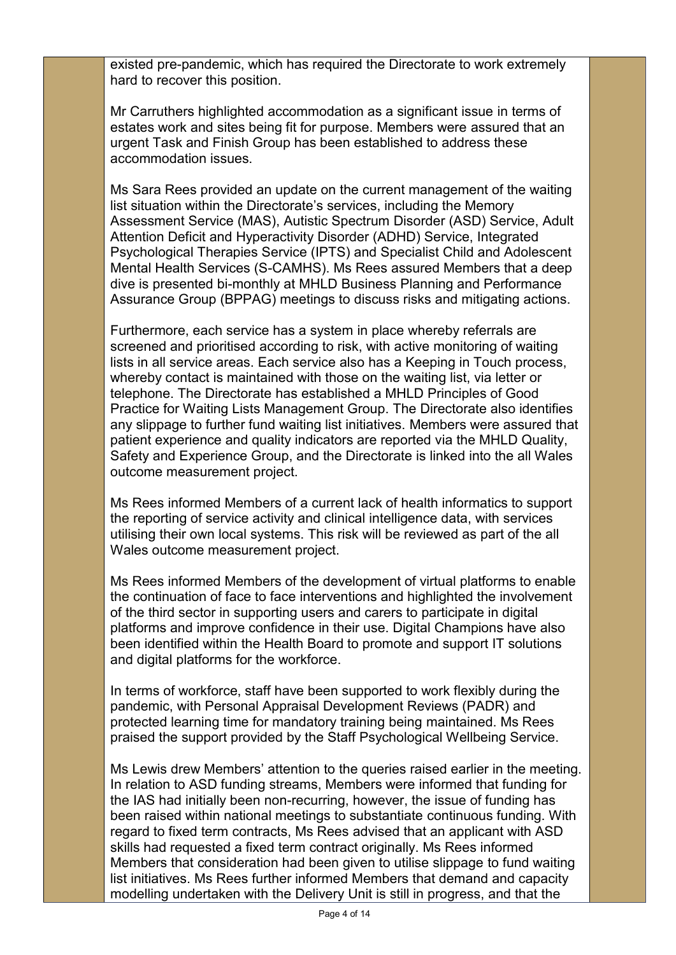existed pre-pandemic, which has required the Directorate to work extremely hard to recover this position.

Mr Carruthers highlighted accommodation as a significant issue in terms of estates work and sites being fit for purpose. Members were assured that an urgent Task and Finish Group has been established to address these accommodation issues.

Ms Sara Rees provided an update on the current management of the waiting list situation within the Directorate's services, including the Memory Assessment Service (MAS), Autistic Spectrum Disorder (ASD) Service, Adult Attention Deficit and Hyperactivity Disorder (ADHD) Service, Integrated Psychological Therapies Service (IPTS) and Specialist Child and Adolescent Mental Health Services (S-CAMHS). Ms Rees assured Members that a deep dive is presented bi-monthly at MHLD Business Planning and Performance Assurance Group (BPPAG) meetings to discuss risks and mitigating actions.

Furthermore, each service has a system in place whereby referrals are screened and prioritised according to risk, with active monitoring of waiting lists in all service areas. Each service also has a Keeping in Touch process, whereby contact is maintained with those on the waiting list, via letter or telephone. The Directorate has established a MHLD Principles of Good Practice for Waiting Lists Management Group. The Directorate also identifies any slippage to further fund waiting list initiatives. Members were assured that patient experience and quality indicators are reported via the MHLD Quality, Safety and Experience Group, and the Directorate is linked into the all Wales outcome measurement project.

Ms Rees informed Members of a current lack of health informatics to support the reporting of service activity and clinical intelligence data, with services utilising their own local systems. This risk will be reviewed as part of the all Wales outcome measurement project.

Ms Rees informed Members of the development of virtual platforms to enable the continuation of face to face interventions and highlighted the involvement of the third sector in supporting users and carers to participate in digital platforms and improve confidence in their use. Digital Champions have also been identified within the Health Board to promote and support IT solutions and digital platforms for the workforce.

In terms of workforce, staff have been supported to work flexibly during the pandemic, with Personal Appraisal Development Reviews (PADR) and protected learning time for mandatory training being maintained. Ms Rees praised the support provided by the Staff Psychological Wellbeing Service.

Ms Lewis drew Members' attention to the queries raised earlier in the meeting. In relation to ASD funding streams, Members were informed that funding for the IAS had initially been non-recurring, however, the issue of funding has been raised within national meetings to substantiate continuous funding. With regard to fixed term contracts, Ms Rees advised that an applicant with ASD skills had requested a fixed term contract originally. Ms Rees informed Members that consideration had been given to utilise slippage to fund waiting list initiatives. Ms Rees further informed Members that demand and capacity modelling undertaken with the Delivery Unit is still in progress, and that the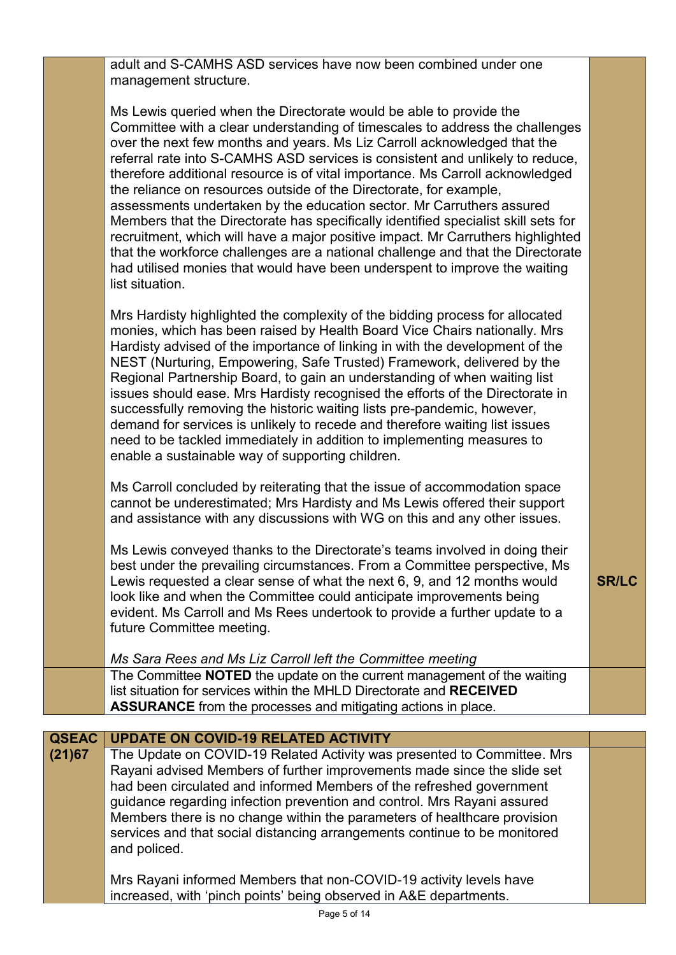adult and S-CAMHS ASD services have now been combined under one management structure.

| Ms Lewis queried when the Directorate would be able to provide the                 |
|------------------------------------------------------------------------------------|
| Committee with a clear understanding of timescales to address the challenges       |
| over the next few months and years. Ms Liz Carroll acknowledged that the           |
| referral rate into S-CAMHS ASD services is consistent and unlikely to reduce,      |
| therefore additional resource is of vital importance. Ms Carroll acknowledged      |
| the reliance on resources outside of the Directorate, for example,                 |
| assessments undertaken by the education sector. Mr Carruthers assured              |
| Members that the Directorate has specifically identified specialist skill sets for |
| recruitment, which will have a major positive impact. Mr Carruthers highlighted    |
| that the workforce challenges are a national challenge and that the Directorate    |
| had utilised monies that would have been underspent to improve the waiting         |
| list situation.                                                                    |

Mrs Hardisty highlighted the complexity of the bidding process for allocated monies, which has been raised by Health Board Vice Chairs nationally. Mrs Hardisty advised of the importance of linking in with the development of the NEST (Nurturing, Empowering, Safe Trusted) Framework, delivered by the Regional Partnership Board, to gain an understanding of when waiting list issues should ease. Mrs Hardisty recognised the efforts of the Directorate in successfully removing the historic waiting lists pre-pandemic, however, demand for services is unlikely to recede and therefore waiting list issues need to be tackled immediately in addition to implementing measures to enable a sustainable way of supporting children.

Ms Carroll concluded by reiterating that the issue of accommodation space cannot be underestimated; Mrs Hardisty and Ms Lewis offered their support and assistance with any discussions with WG on this and any other issues.

Ms Lewis conveyed thanks to the Directorate's teams involved in doing their best under the prevailing circumstances. From a Committee perspective, Ms Lewis requested a clear sense of what the next 6, 9, and 12 months would look like and when the Committee could anticipate improvements being evident. Ms Carroll and Ms Rees undertook to provide a further update to a future Committee meeting.

**SR/LC**

*Ms Sara Rees and Ms Liz Carroll left the Committee meeting* The Committee **NOTED** the update on the current management of the waiting list situation for services within the MHLD Directorate and **RECEIVED ASSURANCE** from the processes and mitigating actions in place.

| <b>QSEAC</b> | <b>UPDATE ON COVID-19 RELATED ACTIVITY</b>                                |  |
|--------------|---------------------------------------------------------------------------|--|
| (21)67       | The Update on COVID-19 Related Activity was presented to Committee. Mrs   |  |
|              | Rayani advised Members of further improvements made since the slide set   |  |
|              | had been circulated and informed Members of the refreshed government      |  |
|              | guidance regarding infection prevention and control. Mrs Rayani assured   |  |
|              | Members there is no change within the parameters of healthcare provision  |  |
|              | services and that social distancing arrangements continue to be monitored |  |
|              | and policed.                                                              |  |
|              |                                                                           |  |
|              | Mrs Rayani informed Members that non-COVID-19 activity levels have        |  |
|              | increased, with 'pinch points' being observed in A&E departments.         |  |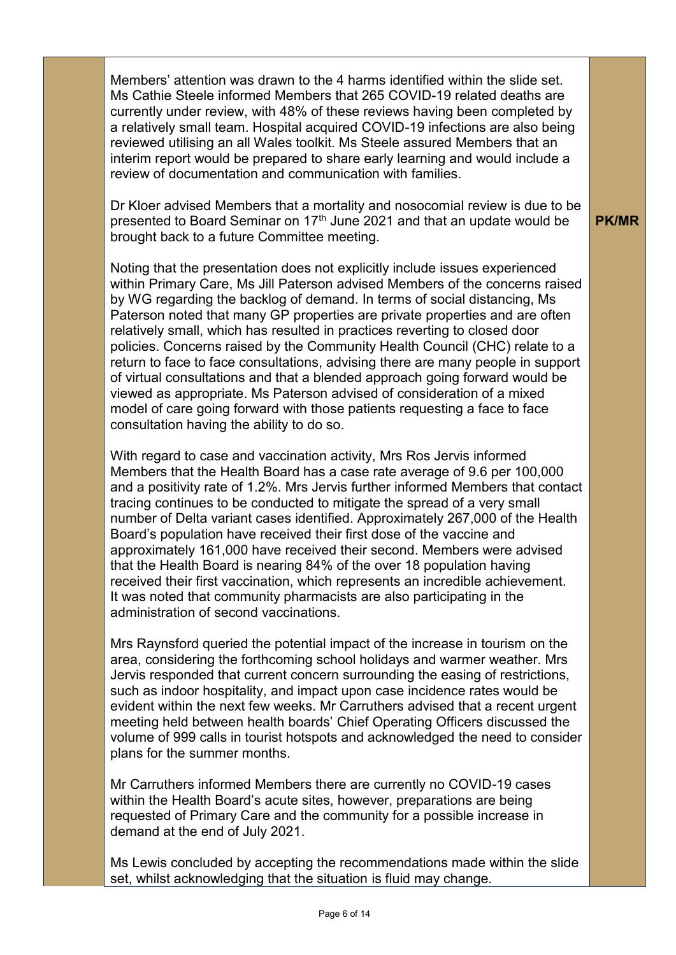Members' attention was drawn to the 4 harms identified within the slide set. Ms Cathie Steele informed Members that 265 COVID-19 related deaths are currently under review, with 48% of these reviews having been completed by a relatively small team. Hospital acquired COVID-19 infections are also being reviewed utilising an all Wales toolkit. Ms Steele assured Members that an interim report would be prepared to share early learning and would include a review of documentation and communication with families.

Dr Kloer advised Members that a mortality and nosocomial review is due to be presented to Board Seminar on 17<sup>th</sup> June 2021 and that an update would be brought back to a future Committee meeting.

Noting that the presentation does not explicitly include issues experienced within Primary Care, Ms Jill Paterson advised Members of the concerns raised by WG regarding the backlog of demand. In terms of social distancing, Ms Paterson noted that many GP properties are private properties and are often relatively small, which has resulted in practices reverting to closed door policies. Concerns raised by the Community Health Council (CHC) relate to a return to face to face consultations, advising there are many people in support of virtual consultations and that a blended approach going forward would be viewed as appropriate. Ms Paterson advised of consideration of a mixed model of care going forward with those patients requesting a face to face consultation having the ability to do so.

With regard to case and vaccination activity, Mrs Ros Jervis informed Members that the Health Board has a case rate average of 9.6 per 100,000 and a positivity rate of 1.2%. Mrs Jervis further informed Members that contact tracing continues to be conducted to mitigate the spread of a very small number of Delta variant cases identified. Approximately 267,000 of the Health Board's population have received their first dose of the vaccine and approximately 161,000 have received their second. Members were advised that the Health Board is nearing 84% of the over 18 population having received their first vaccination, which represents an incredible achievement. It was noted that community pharmacists are also participating in the administration of second vaccinations.

Mrs Raynsford queried the potential impact of the increase in tourism on the area, considering the forthcoming school holidays and warmer weather. Mrs Jervis responded that current concern surrounding the easing of restrictions, such as indoor hospitality, and impact upon case incidence rates would be evident within the next few weeks. Mr Carruthers advised that a recent urgent meeting held between health boards' Chief Operating Officers discussed the volume of 999 calls in tourist hotspots and acknowledged the need to consider plans for the summer months.

Mr Carruthers informed Members there are currently no COVID-19 cases within the Health Board's acute sites, however, preparations are being requested of Primary Care and the community for a possible increase in demand at the end of July 2021.

Ms Lewis concluded by accepting the recommendations made within the slide set, whilst acknowledging that the situation is fluid may change.

**PK/MR**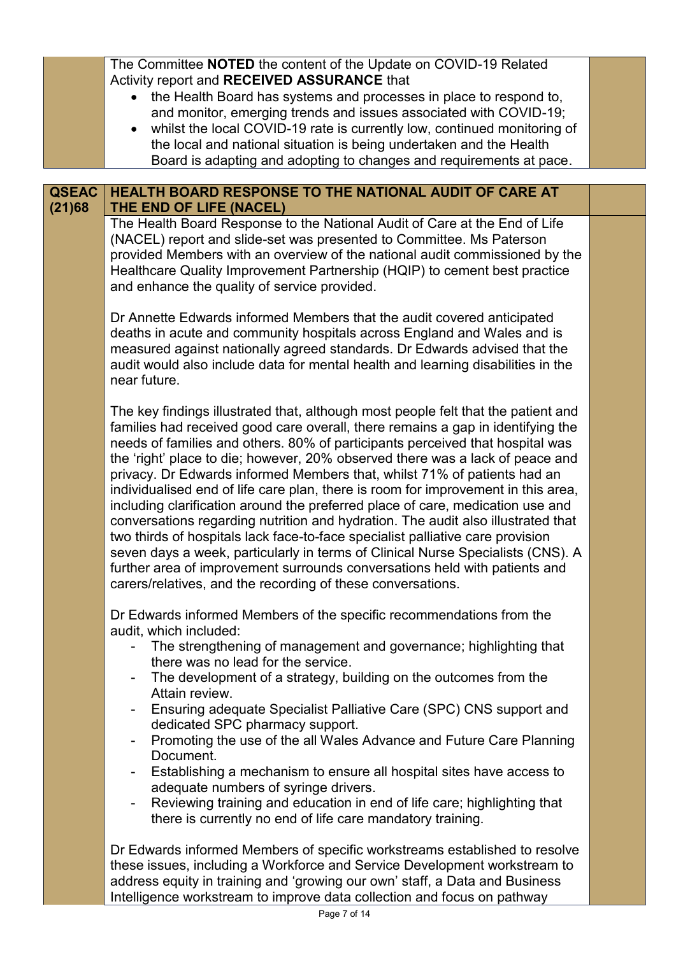|                        | The Committee NOTED the content of the Update on COVID-19 Related<br>Activity report and RECEIVED ASSURANCE that                                                                                                                                                                                                                                                                                                                                                                                                                                                                                                                                                                                                                                                                                                                                                                                                                                                                                |  |
|------------------------|-------------------------------------------------------------------------------------------------------------------------------------------------------------------------------------------------------------------------------------------------------------------------------------------------------------------------------------------------------------------------------------------------------------------------------------------------------------------------------------------------------------------------------------------------------------------------------------------------------------------------------------------------------------------------------------------------------------------------------------------------------------------------------------------------------------------------------------------------------------------------------------------------------------------------------------------------------------------------------------------------|--|
|                        | • the Health Board has systems and processes in place to respond to,<br>and monitor, emerging trends and issues associated with COVID-19;<br>whilst the local COVID-19 rate is currently low, continued monitoring of                                                                                                                                                                                                                                                                                                                                                                                                                                                                                                                                                                                                                                                                                                                                                                           |  |
|                        | the local and national situation is being undertaken and the Health<br>Board is adapting and adopting to changes and requirements at pace.                                                                                                                                                                                                                                                                                                                                                                                                                                                                                                                                                                                                                                                                                                                                                                                                                                                      |  |
|                        |                                                                                                                                                                                                                                                                                                                                                                                                                                                                                                                                                                                                                                                                                                                                                                                                                                                                                                                                                                                                 |  |
| <b>QSEAC</b><br>(21)68 | HEALTH BOARD RESPONSE TO THE NATIONAL AUDIT OF CARE AT<br>THE END OF LIFE (NACEL)                                                                                                                                                                                                                                                                                                                                                                                                                                                                                                                                                                                                                                                                                                                                                                                                                                                                                                               |  |
|                        | The Health Board Response to the National Audit of Care at the End of Life<br>(NACEL) report and slide-set was presented to Committee. Ms Paterson<br>provided Members with an overview of the national audit commissioned by the<br>Healthcare Quality Improvement Partnership (HQIP) to cement best practice<br>and enhance the quality of service provided.                                                                                                                                                                                                                                                                                                                                                                                                                                                                                                                                                                                                                                  |  |
|                        | Dr Annette Edwards informed Members that the audit covered anticipated<br>deaths in acute and community hospitals across England and Wales and is<br>measured against nationally agreed standards. Dr Edwards advised that the<br>audit would also include data for mental health and learning disabilities in the<br>near future.                                                                                                                                                                                                                                                                                                                                                                                                                                                                                                                                                                                                                                                              |  |
|                        | The key findings illustrated that, although most people felt that the patient and<br>families had received good care overall, there remains a gap in identifying the<br>needs of families and others. 80% of participants perceived that hospital was<br>the 'right' place to die; however, 20% observed there was a lack of peace and<br>privacy. Dr Edwards informed Members that, whilst 71% of patients had an<br>individualised end of life care plan, there is room for improvement in this area,<br>including clarification around the preferred place of care, medication use and<br>conversations regarding nutrition and hydration. The audit also illustrated that<br>two thirds of hospitals lack face-to-face specialist palliative care provision<br>seven days a week, particularly in terms of Clinical Nurse Specialists (CNS). A<br>further area of improvement surrounds conversations held with patients and<br>carers/relatives, and the recording of these conversations. |  |
|                        | Dr Edwards informed Members of the specific recommendations from the<br>audit, which included:<br>The strengthening of management and governance; highlighting that<br>there was no lead for the service.<br>The development of a strategy, building on the outcomes from the<br>-<br>Attain review.<br>Ensuring adequate Specialist Palliative Care (SPC) CNS support and                                                                                                                                                                                                                                                                                                                                                                                                                                                                                                                                                                                                                      |  |
|                        | dedicated SPC pharmacy support.<br>Promoting the use of the all Wales Advance and Future Care Planning<br>$\blacksquare$<br>Document.<br>Establishing a mechanism to ensure all hospital sites have access to<br>۰                                                                                                                                                                                                                                                                                                                                                                                                                                                                                                                                                                                                                                                                                                                                                                              |  |
|                        | adequate numbers of syringe drivers.<br>Reviewing training and education in end of life care; highlighting that<br>there is currently no end of life care mandatory training.                                                                                                                                                                                                                                                                                                                                                                                                                                                                                                                                                                                                                                                                                                                                                                                                                   |  |
|                        | Dr Edwards informed Members of specific workstreams established to resolve<br>these issues, including a Workforce and Service Development workstream to<br>address equity in training and 'growing our own' staff, a Data and Business<br>Intelligence workstream to improve data collection and focus on pathway                                                                                                                                                                                                                                                                                                                                                                                                                                                                                                                                                                                                                                                                               |  |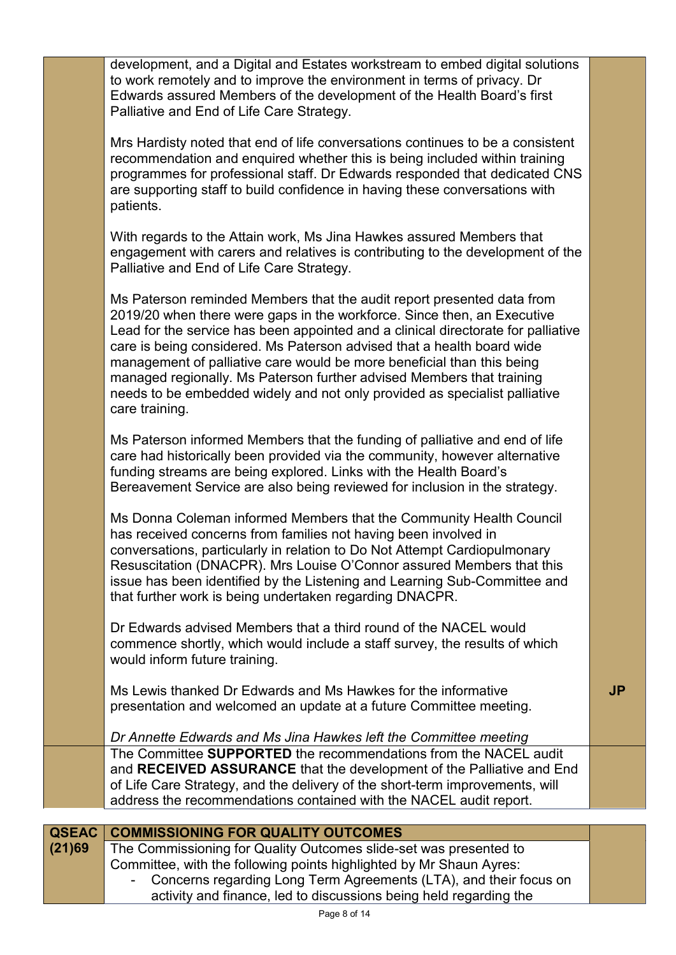|              | development, and a Digital and Estates workstream to embed digital solutions<br>to work remotely and to improve the environment in terms of privacy. Dr<br>Edwards assured Members of the development of the Health Board's first<br>Palliative and End of Life Care Strategy.                                                                                                                                                                                                                                                                                      |           |
|--------------|---------------------------------------------------------------------------------------------------------------------------------------------------------------------------------------------------------------------------------------------------------------------------------------------------------------------------------------------------------------------------------------------------------------------------------------------------------------------------------------------------------------------------------------------------------------------|-----------|
|              | Mrs Hardisty noted that end of life conversations continues to be a consistent<br>recommendation and enquired whether this is being included within training<br>programmes for professional staff. Dr Edwards responded that dedicated CNS<br>are supporting staff to build confidence in having these conversations with<br>patients.                                                                                                                                                                                                                              |           |
|              | With regards to the Attain work, Ms Jina Hawkes assured Members that<br>engagement with carers and relatives is contributing to the development of the<br>Palliative and End of Life Care Strategy.                                                                                                                                                                                                                                                                                                                                                                 |           |
|              | Ms Paterson reminded Members that the audit report presented data from<br>2019/20 when there were gaps in the workforce. Since then, an Executive<br>Lead for the service has been appointed and a clinical directorate for palliative<br>care is being considered. Ms Paterson advised that a health board wide<br>management of palliative care would be more beneficial than this being<br>managed regionally. Ms Paterson further advised Members that training<br>needs to be embedded widely and not only provided as specialist palliative<br>care training. |           |
|              | Ms Paterson informed Members that the funding of palliative and end of life<br>care had historically been provided via the community, however alternative<br>funding streams are being explored. Links with the Health Board's<br>Bereavement Service are also being reviewed for inclusion in the strategy.                                                                                                                                                                                                                                                        |           |
|              | Ms Donna Coleman informed Members that the Community Health Council<br>has received concerns from families not having been involved in<br>conversations, particularly in relation to Do Not Attempt Cardiopulmonary<br>Resuscitation (DNACPR). Mrs Louise O'Connor assured Members that this<br>issue has been identified by the Listening and Learning Sub-Committee and<br>that further work is being undertaken regarding DNACPR.                                                                                                                                |           |
|              | Dr Edwards advised Members that a third round of the NACEL would<br>commence shortly, which would include a staff survey, the results of which<br>would inform future training.                                                                                                                                                                                                                                                                                                                                                                                     |           |
|              | Ms Lewis thanked Dr Edwards and Ms Hawkes for the informative<br>presentation and welcomed an update at a future Committee meeting.                                                                                                                                                                                                                                                                                                                                                                                                                                 | <b>JP</b> |
|              | Dr Annette Edwards and Ms Jina Hawkes left the Committee meeting<br>The Committee SUPPORTED the recommendations from the NACEL audit<br>and RECEIVED ASSURANCE that the development of the Palliative and End<br>of Life Care Strategy, and the delivery of the short-term improvements, will<br>address the recommendations contained with the NACEL audit report.                                                                                                                                                                                                 |           |
| <b>QSEAC</b> | <b>COMMISSIONING FOR QUALITY OUTCOMES</b>                                                                                                                                                                                                                                                                                                                                                                                                                                                                                                                           |           |
| (21)69       | The Commissioning for Quality Outcomes slide-set was presented to<br>Committee, with the following points highlighted by Mr Shaun Ayres:                                                                                                                                                                                                                                                                                                                                                                                                                            |           |

- Concerns regarding Long Term Agreements (LTA), and their focus on activity and finance, led to discussions being held regarding the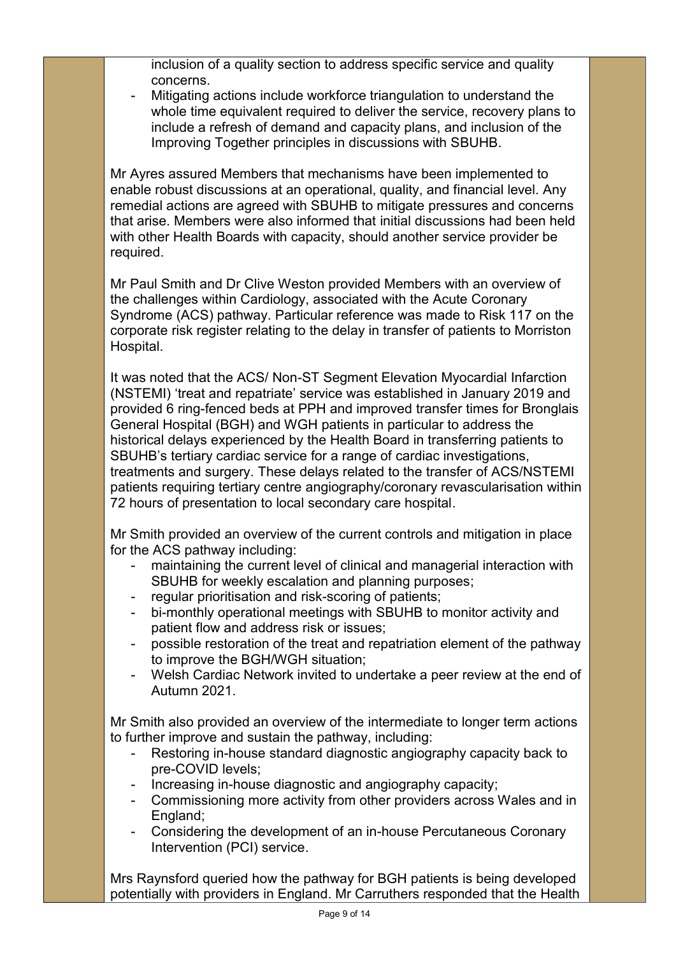inclusion of a quality section to address specific service and quality concerns.

Mitigating actions include workforce triangulation to understand the whole time equivalent required to deliver the service, recovery plans to include a refresh of demand and capacity plans, and inclusion of the Improving Together principles in discussions with SBUHB.

Mr Ayres assured Members that mechanisms have been implemented to enable robust discussions at an operational, quality, and financial level. Any remedial actions are agreed with SBUHB to mitigate pressures and concerns that arise. Members were also informed that initial discussions had been held with other Health Boards with capacity, should another service provider be required.

Mr Paul Smith and Dr Clive Weston provided Members with an overview of the challenges within Cardiology, associated with the Acute Coronary Syndrome (ACS) pathway. Particular reference was made to Risk 117 on the corporate risk register relating to the delay in transfer of patients to Morriston Hospital.

It was noted that the ACS/ Non-ST Segment Elevation Myocardial Infarction (NSTEMI) 'treat and repatriate' service was established in January 2019 and provided 6 ring-fenced beds at PPH and improved transfer times for Bronglais General Hospital (BGH) and WGH patients in particular to address the historical delays experienced by the Health Board in transferring patients to SBUHB's tertiary cardiac service for a range of cardiac investigations, treatments and surgery. These delays related to the transfer of ACS/NSTEMI patients requiring tertiary centre angiography/coronary revascularisation within 72 hours of presentation to local secondary care hospital.

Mr Smith provided an overview of the current controls and mitigation in place for the ACS pathway including:

- maintaining the current level of clinical and managerial interaction with SBUHB for weekly escalation and planning purposes;
- regular prioritisation and risk-scoring of patients;
- bi-monthly operational meetings with SBUHB to monitor activity and patient flow and address risk or issues;
- possible restoration of the treat and repatriation element of the pathway to improve the BGH/WGH situation;
- Welsh Cardiac Network invited to undertake a peer review at the end of Autumn 2021.

Mr Smith also provided an overview of the intermediate to longer term actions to further improve and sustain the pathway, including:

- Restoring in-house standard diagnostic angiography capacity back to pre-COVID levels;
- Increasing in-house diagnostic and angiography capacity;
- Commissioning more activity from other providers across Wales and in England;
- Considering the development of an in-house Percutaneous Coronary Intervention (PCI) service.

Mrs Raynsford queried how the pathway for BGH patients is being developed potentially with providers in England. Mr Carruthers responded that the Health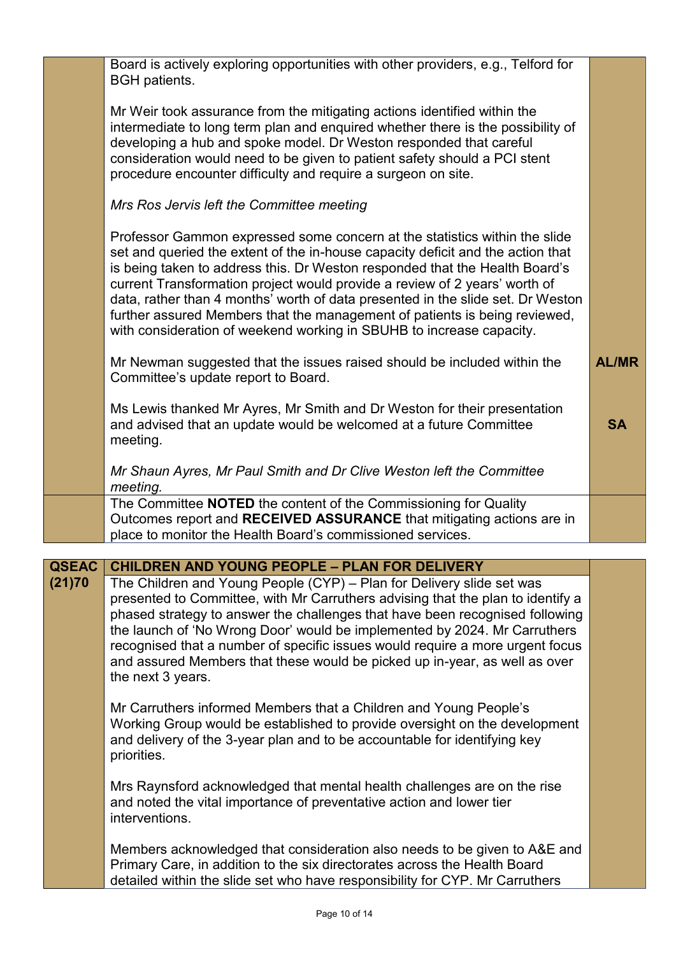|              | Board is actively exploring opportunities with other providers, e.g., Telford for<br><b>BGH</b> patients.                                                                                                                                                                                                                                                                                                                                                                                                                                                           |              |
|--------------|---------------------------------------------------------------------------------------------------------------------------------------------------------------------------------------------------------------------------------------------------------------------------------------------------------------------------------------------------------------------------------------------------------------------------------------------------------------------------------------------------------------------------------------------------------------------|--------------|
|              | Mr Weir took assurance from the mitigating actions identified within the<br>intermediate to long term plan and enquired whether there is the possibility of<br>developing a hub and spoke model. Dr Weston responded that careful<br>consideration would need to be given to patient safety should a PCI stent<br>procedure encounter difficulty and require a surgeon on site.                                                                                                                                                                                     |              |
|              | Mrs Ros Jervis left the Committee meeting                                                                                                                                                                                                                                                                                                                                                                                                                                                                                                                           |              |
|              | Professor Gammon expressed some concern at the statistics within the slide<br>set and queried the extent of the in-house capacity deficit and the action that<br>is being taken to address this. Dr Weston responded that the Health Board's<br>current Transformation project would provide a review of 2 years' worth of<br>data, rather than 4 months' worth of data presented in the slide set. Dr Weston<br>further assured Members that the management of patients is being reviewed,<br>with consideration of weekend working in SBUHB to increase capacity. |              |
|              | Mr Newman suggested that the issues raised should be included within the<br>Committee's update report to Board.                                                                                                                                                                                                                                                                                                                                                                                                                                                     | <b>AL/MR</b> |
|              | Ms Lewis thanked Mr Ayres, Mr Smith and Dr Weston for their presentation<br>and advised that an update would be welcomed at a future Committee<br>meeting.                                                                                                                                                                                                                                                                                                                                                                                                          | <b>SA</b>    |
|              | Mr Shaun Ayres, Mr Paul Smith and Dr Clive Weston left the Committee<br>meeting.                                                                                                                                                                                                                                                                                                                                                                                                                                                                                    |              |
|              | The Committee NOTED the content of the Commissioning for Quality<br>Outcomes report and RECEIVED ASSURANCE that mitigating actions are in<br>place to monitor the Health Board's commissioned services.                                                                                                                                                                                                                                                                                                                                                             |              |
| <b>QSEAC</b> | <b>CHILDREN AND YOUNG PEOPLE - PLAN FOR DELIVERY</b>                                                                                                                                                                                                                                                                                                                                                                                                                                                                                                                |              |
| (21)70       | The Children and Young People (CYP) – Plan for Delivery slide set was<br>presented to Committee, with Mr Carruthers advising that the plan to identify a<br>phased strategy to answer the challenges that have been recognised following<br>the launch of 'No Wrong Door' would be implemented by 2024. Mr Carruthers<br>recognised that a number of specific issues would require a more urgent focus<br>and assured Members that these would be picked up in-year, as well as over<br>the next 3 years.                                                           |              |
|              | Mr Carruthers informed Members that a Children and Young People's<br>Working Group would be established to provide oversight on the development<br>and delivery of the 3-year plan and to be accountable for identifying key<br>priorities.                                                                                                                                                                                                                                                                                                                         |              |
|              | Mrs Raynsford acknowledged that mental health challenges are on the rise<br>and noted the vital importance of preventative action and lower tier<br>interventions.                                                                                                                                                                                                                                                                                                                                                                                                  |              |

Members acknowledged that consideration also needs to be given to A&E and Primary Care, in addition to the six directorates across the Health Board detailed within the slide set who have responsibility for CYP. Mr Carruthers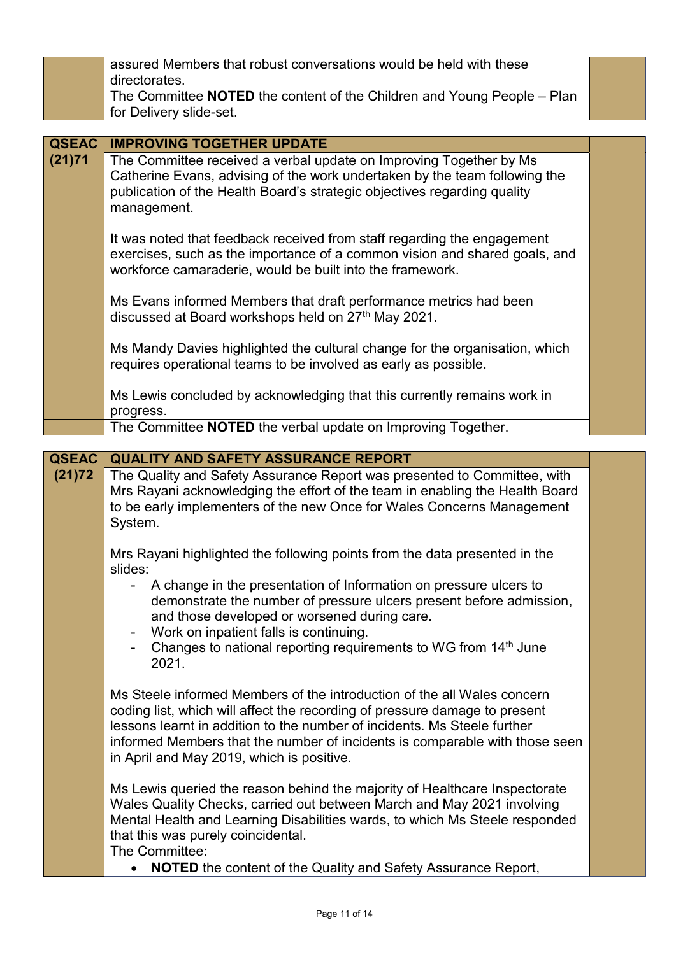|                        | assured Members that robust conversations would be held with these<br>directorates.                                                                                                                                                                                                                                                                           |  |
|------------------------|---------------------------------------------------------------------------------------------------------------------------------------------------------------------------------------------------------------------------------------------------------------------------------------------------------------------------------------------------------------|--|
|                        | The Committee NOTED the content of the Children and Young People - Plan<br>for Delivery slide-set.                                                                                                                                                                                                                                                            |  |
|                        |                                                                                                                                                                                                                                                                                                                                                               |  |
| <b>QSEAC</b><br>(21)71 | <b>IMPROVING TOGETHER UPDATE</b><br>The Committee received a verbal update on Improving Together by Ms                                                                                                                                                                                                                                                        |  |
|                        | Catherine Evans, advising of the work undertaken by the team following the<br>publication of the Health Board's strategic objectives regarding quality<br>management.                                                                                                                                                                                         |  |
|                        | It was noted that feedback received from staff regarding the engagement<br>exercises, such as the importance of a common vision and shared goals, and<br>workforce camaraderie, would be built into the framework.                                                                                                                                            |  |
|                        | Ms Evans informed Members that draft performance metrics had been<br>discussed at Board workshops held on 27th May 2021.                                                                                                                                                                                                                                      |  |
|                        | Ms Mandy Davies highlighted the cultural change for the organisation, which<br>requires operational teams to be involved as early as possible.                                                                                                                                                                                                                |  |
|                        | Ms Lewis concluded by acknowledging that this currently remains work in<br>progress.                                                                                                                                                                                                                                                                          |  |
|                        | The Committee NOTED the verbal update on Improving Together.                                                                                                                                                                                                                                                                                                  |  |
| <b>QSEAC</b>           | <b>QUALITY AND SAFETY ASSURANCE REPORT</b>                                                                                                                                                                                                                                                                                                                    |  |
| (21)72                 | The Quality and Safety Assurance Report was presented to Committee, with<br>Mrs Rayani acknowledging the effort of the team in enabling the Health Board<br>to be early implementers of the new Once for Wales Concerns Management<br>System.                                                                                                                 |  |
|                        | Mrs Rayani highlighted the following points from the data presented in the<br>slides:                                                                                                                                                                                                                                                                         |  |
|                        | A change in the presentation of Information on pressure ulcers to<br>demonstrate the number of pressure ulcers present before admission,<br>and those developed or worsened during care.<br>Work on inpatient falls is continuing.<br>Changes to national reporting requirements to WG from 14 <sup>th</sup> June                                             |  |
|                        | 2021.                                                                                                                                                                                                                                                                                                                                                         |  |
|                        | Ms Steele informed Members of the introduction of the all Wales concern<br>coding list, which will affect the recording of pressure damage to present<br>lessons learnt in addition to the number of incidents. Ms Steele further<br>informed Members that the number of incidents is comparable with those seen<br>in April and May 2019, which is positive. |  |
|                        | Ms Lewis queried the reason behind the majority of Healthcare Inspectorate<br>Wales Quality Checks, carried out between March and May 2021 involving<br>Mental Health and Learning Disabilities wards, to which Ms Steele responded<br>that this was purely coincidental.                                                                                     |  |
|                        | The Committee:<br><b>NOTED</b> the content of the Quality and Safety Assurance Report,<br>$\bullet$                                                                                                                                                                                                                                                           |  |
|                        |                                                                                                                                                                                                                                                                                                                                                               |  |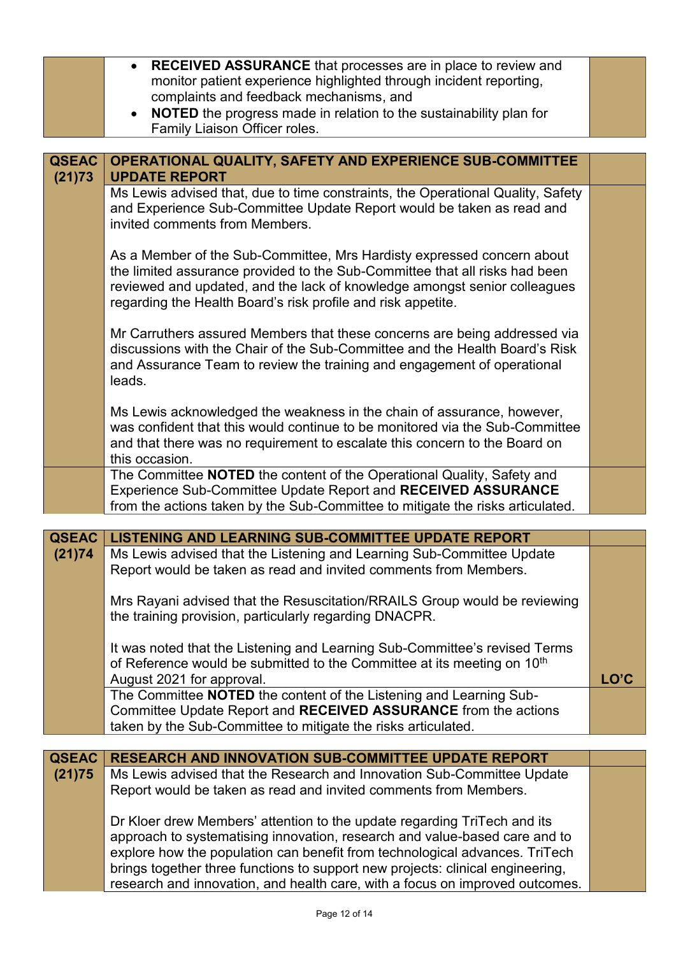|              | <b>RECEIVED ASSURANCE</b> that processes are in place to review and<br>$\bullet$                                                                                                                                                                                                                                                                                                                        |      |
|--------------|---------------------------------------------------------------------------------------------------------------------------------------------------------------------------------------------------------------------------------------------------------------------------------------------------------------------------------------------------------------------------------------------------------|------|
|              | monitor patient experience highlighted through incident reporting,<br>complaints and feedback mechanisms, and                                                                                                                                                                                                                                                                                           |      |
|              | <b>NOTED</b> the progress made in relation to the sustainability plan for                                                                                                                                                                                                                                                                                                                               |      |
|              | Family Liaison Officer roles.                                                                                                                                                                                                                                                                                                                                                                           |      |
|              |                                                                                                                                                                                                                                                                                                                                                                                                         |      |
| <b>QSEAC</b> | OPERATIONAL QUALITY, SAFETY AND EXPERIENCE SUB-COMMITTEE<br><b>UPDATE REPORT</b>                                                                                                                                                                                                                                                                                                                        |      |
| (21)73       | Ms Lewis advised that, due to time constraints, the Operational Quality, Safety                                                                                                                                                                                                                                                                                                                         |      |
|              | and Experience Sub-Committee Update Report would be taken as read and<br>invited comments from Members.                                                                                                                                                                                                                                                                                                 |      |
|              | As a Member of the Sub-Committee, Mrs Hardisty expressed concern about<br>the limited assurance provided to the Sub-Committee that all risks had been<br>reviewed and updated, and the lack of knowledge amongst senior colleagues<br>regarding the Health Board's risk profile and risk appetite.                                                                                                      |      |
|              | Mr Carruthers assured Members that these concerns are being addressed via<br>discussions with the Chair of the Sub-Committee and the Health Board's Risk<br>and Assurance Team to review the training and engagement of operational<br>leads.                                                                                                                                                           |      |
|              | Ms Lewis acknowledged the weakness in the chain of assurance, however,<br>was confident that this would continue to be monitored via the Sub-Committee<br>and that there was no requirement to escalate this concern to the Board on<br>this occasion.                                                                                                                                                  |      |
|              | The Committee NOTED the content of the Operational Quality, Safety and<br>Experience Sub-Committee Update Report and RECEIVED ASSURANCE<br>from the actions taken by the Sub-Committee to mitigate the risks articulated.                                                                                                                                                                               |      |
| <b>QSEAC</b> | <b>LISTENING AND LEARNING SUB-COMMITTEE UPDATE REPORT</b>                                                                                                                                                                                                                                                                                                                                               |      |
| (21)74       | Ms Lewis advised that the Listening and Learning Sub-Committee Update<br>Report would be taken as read and invited comments from Members.                                                                                                                                                                                                                                                               |      |
|              | Mrs Rayani advised that the Resuscitation/RRAILS Group would be reviewing<br>the training provision, particularly regarding DNACPR.                                                                                                                                                                                                                                                                     |      |
|              | It was noted that the Listening and Learning Sub-Committee's revised Terms                                                                                                                                                                                                                                                                                                                              |      |
|              | of Reference would be submitted to the Committee at its meeting on 10 <sup>th</sup>                                                                                                                                                                                                                                                                                                                     |      |
|              | August 2021 for approval.                                                                                                                                                                                                                                                                                                                                                                               | LO'C |
|              | The Committee NOTED the content of the Listening and Learning Sub-                                                                                                                                                                                                                                                                                                                                      |      |
|              | Committee Update Report and RECEIVED ASSURANCE from the actions<br>taken by the Sub-Committee to mitigate the risks articulated.                                                                                                                                                                                                                                                                        |      |
|              |                                                                                                                                                                                                                                                                                                                                                                                                         |      |
| <b>QSEAC</b> | <b>RESEARCH AND INNOVATION SUB-COMMITTEE UPDATE REPORT</b>                                                                                                                                                                                                                                                                                                                                              |      |
| (21)75       | Ms Lewis advised that the Research and Innovation Sub-Committee Update<br>Report would be taken as read and invited comments from Members.                                                                                                                                                                                                                                                              |      |
|              | Dr Kloer drew Members' attention to the update regarding TriTech and its<br>approach to systematising innovation, research and value-based care and to<br>explore how the population can benefit from technological advances. TriTech<br>brings together three functions to support new projects: clinical engineering,<br>research and innovation, and health care, with a focus on improved outcomes. |      |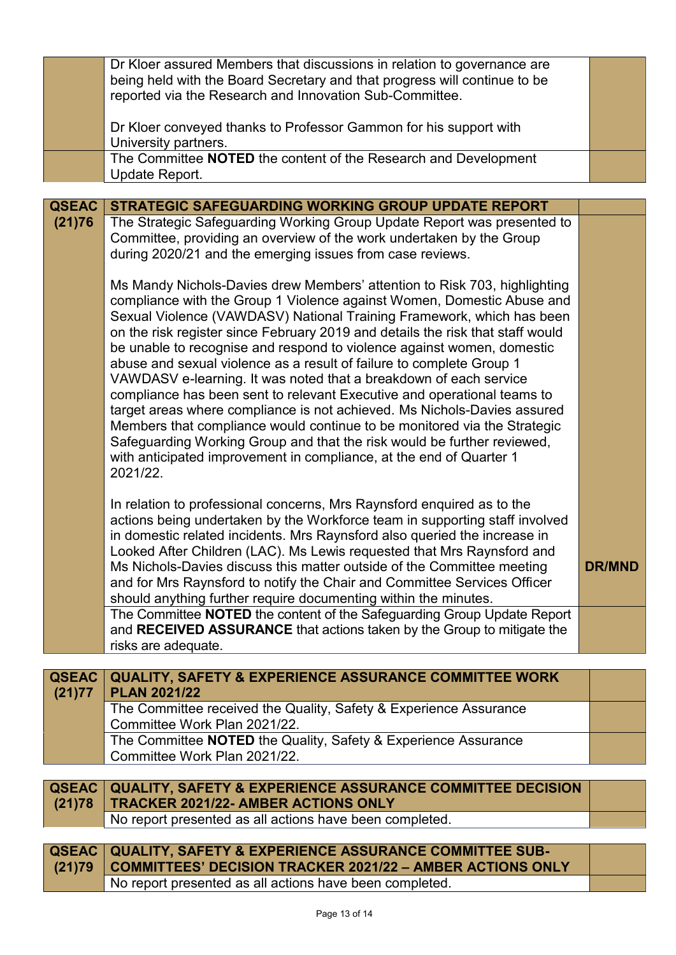|              | Dr Kloer assured Members that discussions in relation to governance are        |               |
|--------------|--------------------------------------------------------------------------------|---------------|
|              | being held with the Board Secretary and that progress will continue to be      |               |
|              | reported via the Research and Innovation Sub-Committee.                        |               |
|              |                                                                                |               |
|              |                                                                                |               |
|              | Dr Kloer conveyed thanks to Professor Gammon for his support with              |               |
|              | University partners.                                                           |               |
|              | The Committee NOTED the content of the Research and Development                |               |
|              | Update Report.                                                                 |               |
|              |                                                                                |               |
| <b>QSEAC</b> | STRATEGIC SAFEGUARDING WORKING GROUP UPDATE REPORT                             |               |
| (21)76       | The Strategic Safeguarding Working Group Update Report was presented to        |               |
|              | Committee, providing an overview of the work undertaken by the Group           |               |
|              |                                                                                |               |
|              | during 2020/21 and the emerging issues from case reviews.                      |               |
|              |                                                                                |               |
|              | Ms Mandy Nichols-Davies drew Members' attention to Risk 703, highlighting      |               |
|              | compliance with the Group 1 Violence against Women, Domestic Abuse and         |               |
|              | Sexual Violence (VAWDASV) National Training Framework, which has been          |               |
|              | on the risk register since February 2019 and details the risk that staff would |               |
|              | be unable to recognise and respond to violence against women, domestic         |               |
|              |                                                                                |               |
|              | abuse and sexual violence as a result of failure to complete Group 1           |               |
|              | VAWDASV e-learning. It was noted that a breakdown of each service              |               |
|              | compliance has been sent to relevant Executive and operational teams to        |               |
|              | target areas where compliance is not achieved. Ms Nichols-Davies assured       |               |
|              | Members that compliance would continue to be monitored via the Strategic       |               |
|              | Safeguarding Working Group and that the risk would be further reviewed,        |               |
|              | with anticipated improvement in compliance, at the end of Quarter 1            |               |
|              | 2021/22.                                                                       |               |
|              |                                                                                |               |
|              |                                                                                |               |
|              | In relation to professional concerns, Mrs Raynsford enquired as to the         |               |
|              | actions being undertaken by the Workforce team in supporting staff involved    |               |
|              | in domestic related incidents. Mrs Raynsford also queried the increase in      |               |
|              | Looked After Children (LAC). Ms Lewis requested that Mrs Raynsford and         |               |
|              | Ms Nichols-Davies discuss this matter outside of the Committee meeting         | <b>DR/MND</b> |
|              |                                                                                |               |
|              | and for Mrs Raynsford to notify the Chair and Committee Services Officer       |               |
|              | should anything further require documenting within the minutes.                |               |
|              | The Committee NOTED the content of the Safeguarding Group Update Report        |               |
|              | and RECEIVED ASSURANCE that actions taken by the Group to mitigate the         |               |
|              | risks are adequate.                                                            |               |
|              |                                                                                |               |
| <b>QSEAC</b> | <b>QUALITY, SAFETY &amp; EXPERIENCE ASSURANCE COMMITTEE WORK</b>               |               |
| (21)77       | <b>PLAN 2021/22</b>                                                            |               |
|              |                                                                                |               |
|              | The Committee received the Quality, Safety & Experience Assurance              |               |
|              | Committee Work Plan 2021/22.                                                   |               |
|              | The Committee NOTED the Quality, Safety & Experience Assurance                 |               |
|              | Committee Work Plan 2021/22.                                                   |               |
|              |                                                                                |               |
| <b>QSEAC</b> | <b>QUALITY, SAFETY &amp; EXPERIENCE ASSURANCE COMMITTEE DECISION</b>           |               |
| (21)78       | <b>TRACKER 2021/22- AMBER ACTIONS ONLY</b>                                     |               |
|              |                                                                                |               |
|              | No report presented as all actions have been completed.                        |               |
|              |                                                                                |               |
| <b>QSEAC</b> | <b>QUALITY, SAFETY &amp; EXPERIENCE ASSURANCE COMMITTEE SUB-</b>               |               |
| (21)79       | <b>COMMITTEES' DECISION TRACKER 2021/22 - AMBER ACTIONS ONLY</b>               |               |

No report presented as all actions have been completed.